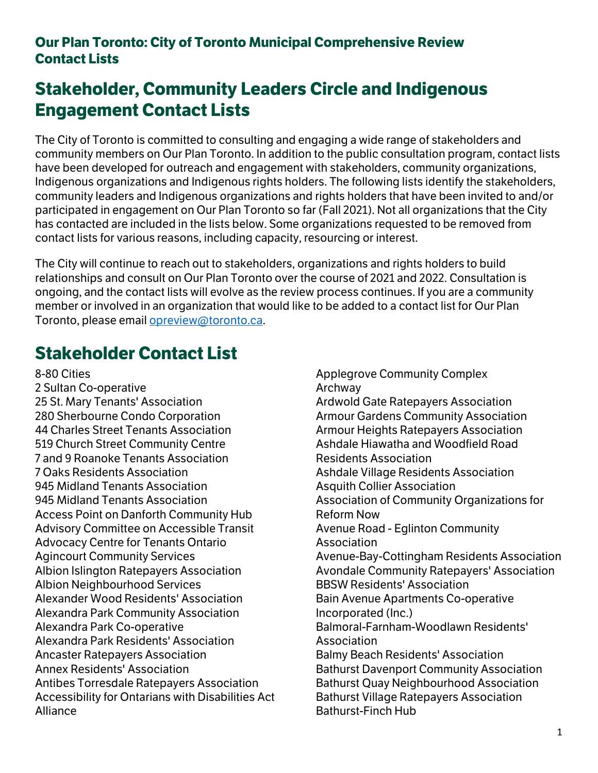# **Stakeholder, Community Leaders Circle and Indigenous Engagement Contact Lists**

The City of Toronto is committed to consulting and engaging a wide range of stakeholders and community members on Our Plan Toronto. In addition to the public consultation program, contact lists have been developed for outreach and engagement with stakeholders, community organizations, Indigenous organizations and Indigenous rights holders. The following lists identify the stakeholders, community leaders and Indigenous organizations and rights holders that have been invited to and/or participated in engagement on Our Plan Toronto so far (Fall 2021). Not all organizations that the City has contacted are included in the lists below. Some organizations requested to be removed from contact lists for various reasons, including capacity, resourcing or interest.

The City will continue to reach out to stakeholders, organizations and rights holders to build relationships and consult on Our Plan Toronto over the course of 2021 and 2022. Consultation is ongoing, and the contact lists will evolve as the review process continues. If you are a community member or involved in an organization that would like to be added to a contact list for Our Plan Toronto, please email [opreview@toronto.ca.](mailto:opreview@toronto.ca)

# **Stakeholder Contact List**

8-80 Cities 2 Sultan Co-operative 25 St. Mary Tenants' Association 280 Sherbourne Condo Corporation 44 Charles Street Tenants Association 519 Church Street Community Centre 7 and 9 Roanoke Tenants Association 7 Oaks Residents Association 945 Midland Tenants Association 945 Midland Tenants Association Access Point on Danforth Community Hub Advisory Committee on Accessible Transit Advocacy Centre for Tenants Ontario Agincourt Community Services Albion Islington Ratepayers Association Albion Neighbourhood Services Alexander Wood Residents' Association Alexandra Park Community Association Alexandra Park Co-operative Alexandra Park Residents' Association Ancaster Ratepayers Association Annex Residents' Association Antibes Torresdale Ratepayers Association Accessibility for Ontarians with Disabilities Act Alliance

Applegrove Community Complex Archway Ardwold Gate Ratepayers Association Armour Gardens Community Association Armour Heights Ratepayers Association Ashdale Hiawatha and Woodfield Road Residents Association Ashdale Village Residents Association Asquith Collier Association Association of Community Organizations for Reform Now Avenue Road - Eglinton Community Association Avenue-Bay-Cottingham Residents Association Avondale Community Ratepayers' Association BBSW Residents' Association Bain Avenue Apartments Co-operative Incorporated (Inc.) Balmoral-Farnham-Woodlawn Residents' Association Balmy Beach Residents' Association Bathurst Davenport Community Association Bathurst Quay Neighbourhood Association Bathurst Village Ratepayers Association Bathurst-Finch Hub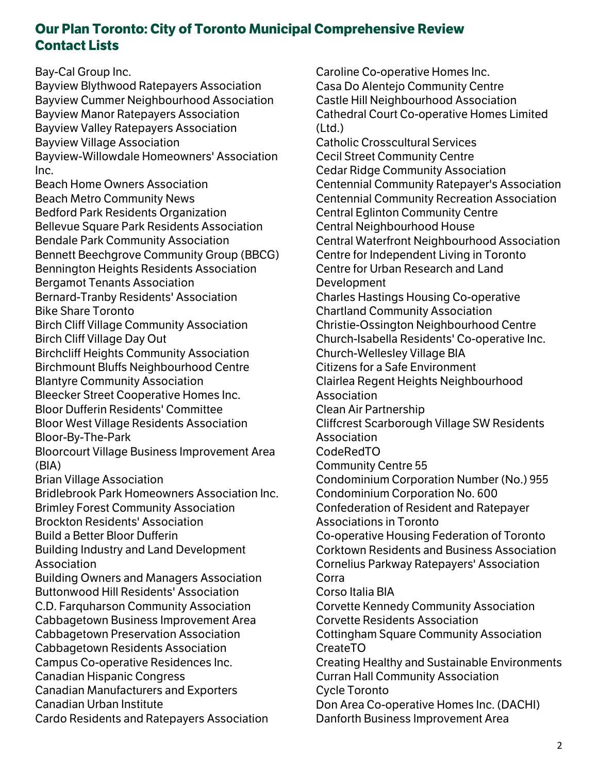Bay-Cal Group Inc.

Bayview Blythwood Ratepayers Association Bayview Cummer Neighbourhood Association Bayview Manor Ratepayers Association Bayview Valley Ratepayers Association Bayview Village Association Bayview-Willowdale Homeowners' Association Inc.

Beach Home Owners Association Beach Metro Community News Bedford Park Residents Organization Bellevue Square Park Residents Association Bendale Park Community Association Bennett Beechgrove Community Group (BBCG) Bennington Heights Residents Association Bergamot Tenants Association Bernard-Tranby Residents' Association Bike Share Toronto Birch Cliff Village Community Association Birch Cliff Village Day Out Birchcliff Heights Community Association Birchmount Bluffs Neighbourhood Centre Blantyre Community Association Bleecker Street Cooperative Homes Inc. Bloor Dufferin Residents' Committee Bloor West Village Residents Association Bloor-By-The-Park Bloorcourt Village Business Improvement Area (BIA) Brian Village Association Bridlebrook Park Homeowners Association Inc. Brimley Forest Community Association Brockton Residents' Association Build a Better Bloor Dufferin Building Industry and Land Development Association Building Owners and Managers Association Buttonwood Hill Residents' Association C.D. Farquharson Community Association Cabbagetown Business Improvement Area Cabbagetown Preservation Association Cabbagetown Residents Association Campus Co-operative Residences Inc. Canadian Hispanic Congress Canadian Manufacturers and Exporters Canadian Urban Institute

Cardo Residents and Ratepayers Association

Caroline Co-operative Homes Inc. Casa Do Alentejo Community Centre Castle Hill Neighbourhood Association Cathedral Court Co-operative Homes Limited  $(Ltd.)$ Catholic Crosscultural Services Cecil Street Community Centre Cedar Ridge Community Association Centennial Community Ratepayer's Association Centennial Community Recreation Association Central Eglinton Community Centre Central Neighbourhood House Central Waterfront Neighbourhood Association Centre for Independent Living in Toronto Centre for Urban Research and Land Development Charles Hastings Housing Co-operative Chartland Community Association Christie-Ossington Neighbourhood Centre Church-Isabella Residents' Co-operative Inc. Church-Wellesley Village BIA Citizens for a Safe Environment Clairlea Regent Heights Neighbourhood Association Clean Air Partnership Cliffcrest Scarborough Village SW Residents Association CodeRedTO Community Centre 55 Condominium Corporation Number (No.) 955 Condominium Corporation No. 600 Confederation of Resident and Ratepayer Associations in Toronto Co-operative Housing Federation of Toronto Corktown Residents and Business Association Cornelius Parkway Ratepayers' Association Corra Corso Italia BIA Corvette Kennedy Community Association Corvette Residents Association Cottingham Square Community Association CreateTO Creating Healthy and Sustainable Environments Curran Hall Community Association Cycle Toronto Don Area Co-operative Homes Inc. (DACHI) Danforth Business Improvement Area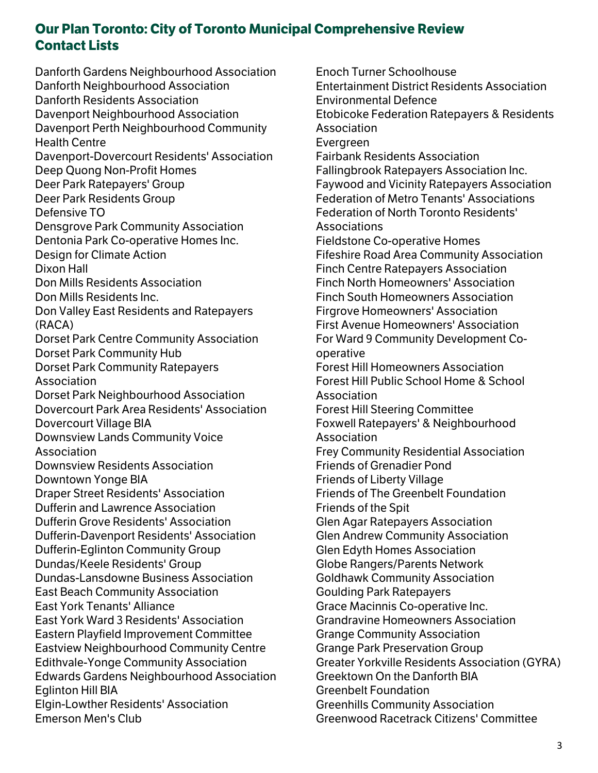Danforth Gardens Neighbourhood Association Danforth Neighbourhood Association Danforth Residents Association Davenport Neighbourhood Association Davenport Perth Neighbourhood Community Health Centre Davenport-Dovercourt Residents' Association Deep Quong Non-Profit Homes Deer Park Ratepayers' Group Deer Park Residents Group Defensive TO Densgrove Park Community Association Dentonia Park Co-operative Homes Inc. Design for Climate Action Dixon Hall Don Mills Residents Association Don Mills Residents Inc. Don Valley East Residents and Ratepayers (RACA) Dorset Park Centre Community Association Dorset Park Community Hub Dorset Park Community Ratepayers Association Dorset Park Neighbourhood Association Dovercourt Park Area Residents' Association Dovercourt Village BIA Downsview Lands Community Voice Association Downsview Residents Association Downtown Yonge BIA Draper Street Residents' Association Dufferin and Lawrence Association Dufferin Grove Residents' Association Dufferin-Davenport Residents' Association Dufferin-Eglinton Community Group Dundas/Keele Residents' Group Dundas-Lansdowne Business Association East Beach Community Association East York Tenants' Alliance East York Ward 3 Residents' Association Eastern Playfield Improvement Committee Eastview Neighbourhood Community Centre Edithvale-Yonge Community Association Edwards Gardens Neighbourhood Association Eglinton Hill BIA Elgin-Lowther Residents' Association Emerson Men's Club

Enoch Turner Schoolhouse Entertainment District Residents Association Environmental Defence Etobicoke Federation Ratepayers & Residents Association Evergreen Fairbank Residents Association Fallingbrook Ratepayers Association Inc. Faywood and Vicinity Ratepayers Association Federation of Metro Tenants' Associations Federation of North Toronto Residents' Associations Fieldstone Co-operative Homes Fifeshire Road Area Community Association Finch Centre Ratepayers Association Finch North Homeowners' Association Finch South Homeowners Association Firgrove Homeowners' Association First Avenue Homeowners' Association For Ward 9 Community Development Cooperative Forest Hill Homeowners Association Forest Hill Public School Home & School Association Forest Hill Steering Committee Foxwell Ratepayers' & Neighbourhood Association Frey Community Residential Association Friends of Grenadier Pond Friends of Liberty Village Friends of The Greenbelt Foundation Friends of the Spit Glen Agar Ratepayers Association Glen Andrew Community Association Glen Edyth Homes Association Globe Rangers/Parents Network Goldhawk Community Association Goulding Park Ratepayers Grace Macinnis Co-operative Inc. Grandravine Homeowners Association Grange Community Association Grange Park Preservation Group Greater Yorkville Residents Association (GYRA) Greektown On the Danforth BIA Greenbelt Foundation Greenhills Community Association Greenwood Racetrack Citizens' Committee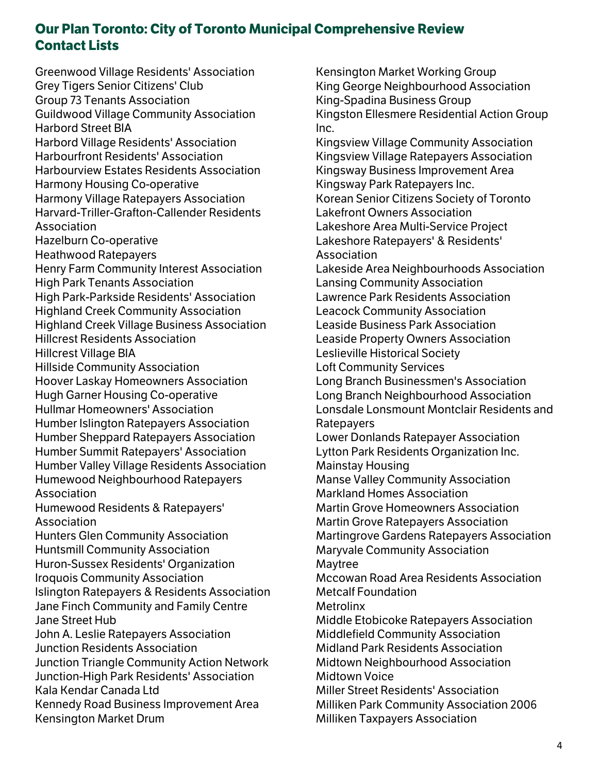Greenwood Village Residents' Association Grey Tigers Senior Citizens' Club Group 73 Tenants Association Guildwood Village Community Association Harbord Street BIA Harbord Village Residents' Association Harbourfront Residents' Association Harbourview Estates Residents Association Harmony Housing Co-operative Harmony Village Ratepayers Association Harvard-Triller-Grafton-Callender Residents Association Hazelburn Co-operative Heathwood Ratepayers Henry Farm Community Interest Association High Park Tenants Association High Park-Parkside Residents' Association Highland Creek Community Association Highland Creek Village Business Association Hillcrest Residents Association Hillcrest Village BIA Hillside Community Association Hoover Laskay Homeowners Association Hugh Garner Housing Co-operative Hullmar Homeowners' Association Humber Islington Ratepayers Association Humber Sheppard Ratepayers Association Humber Summit Ratepayers' Association Humber Valley Village Residents Association Humewood Neighbourhood Ratepayers Association Humewood Residents & Ratepayers' Association Hunters Glen Community Association Huntsmill Community Association Huron-Sussex Residents' Organization Iroquois Community Association Islington Ratepayers & Residents Association Jane Finch Community and Family Centre Jane Street Hub John A. Leslie Ratepayers Association Junction Residents Association Junction Triangle Community Action Network Junction-High Park Residents' Association Kala Kendar Canada Ltd Kennedy Road Business Improvement Area Kensington Market Drum

Kensington Market Working Group King George Neighbourhood Association King-Spadina Business Group Kingston Ellesmere Residential Action Group Inc. Kingsview Village Community Association Kingsview Village Ratepayers Association Kingsway Business Improvement Area Kingsway Park Ratepayers Inc. Korean Senior Citizens Society of Toronto Lakefront Owners Association Lakeshore Area Multi-Service Project Lakeshore Ratepayers' & Residents' Association Lakeside Area Neighbourhoods Association Lansing Community Association Lawrence Park Residents Association Leacock Community Association Leaside Business Park Association Leaside Property Owners Association Leslieville Historical Society Loft Community Services Long Branch Businessmen's Association Long Branch Neighbourhood Association Lonsdale Lonsmount Montclair Residents and Ratepayers Lower Donlands Ratepayer Association Lytton Park Residents Organization Inc. Mainstay Housing Manse Valley Community Association Markland Homes Association Martin Grove Homeowners Association Martin Grove Ratepayers Association Martingrove Gardens Ratepayers Association Maryvale Community Association Maytree Mccowan Road Area Residents Association Metcalf Foundation **Metrolinx** Middle Etobicoke Ratepayers Association Middlefield Community Association Midland Park Residents Association Midtown Neighbourhood Association Midtown Voice Miller Street Residents' Association Milliken Park Community Association 2006 Milliken Taxpayers Association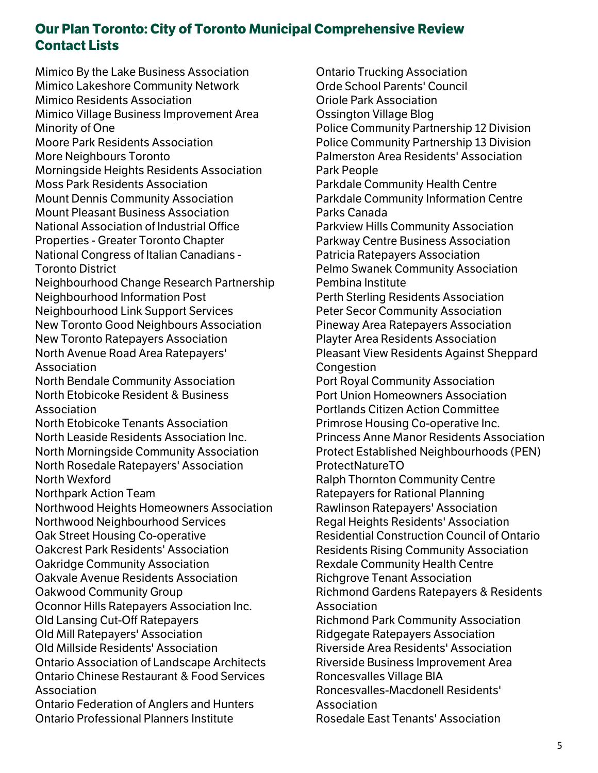Mimico By the Lake Business Association Mimico Lakeshore Community Network Mimico Residents Association Mimico Village Business Improvement Area Minority of One Moore Park Residents Association More Neighbours Toronto Morningside Heights Residents Association Moss Park Residents Association Mount Dennis Community Association Mount Pleasant Business Association National Association of Industrial Office Properties - Greater Toronto Chapter National Congress of Italian Canadians - Toronto District Neighbourhood Change Research Partnership Neighbourhood Information Post Neighbourhood Link Support Services New Toronto Good Neighbours Association New Toronto Ratepayers Association North Avenue Road Area Ratepayers' Association North Bendale Community Association North Etobicoke Resident & Business Association North Etobicoke Tenants Association North Leaside Residents Association Inc. North Morningside Community Association North Rosedale Ratepayers' Association North Wexford Northpark Action Team Northwood Heights Homeowners Association Northwood Neighbourhood Services Oak Street Housing Co-operative Oakcrest Park Residents' Association Oakridge Community Association Oakvale Avenue Residents Association Oakwood Community Group Oconnor Hills Ratepayers Association Inc. Old Lansing Cut-Off Ratepayers Old Mill Ratepayers' Association Old Millside Residents' Association Ontario Association of Landscape Architects Ontario Chinese Restaurant & Food Services Association Ontario Federation of Anglers and Hunters Ontario Professional Planners Institute

Ontario Trucking Association Orde School Parents' Council Oriole Park Association Ossington Village Blog Police Community Partnership 12 Division Police Community Partnership 13 Division Palmerston Area Residents' Association Park People Parkdale Community Health Centre Parkdale Community Information Centre Parks Canada Parkview Hills Community Association Parkway Centre Business Association Patricia Ratepayers Association Pelmo Swanek Community Association Pembina Institute Perth Sterling Residents Association Peter Secor Community Association Pineway Area Ratepayers Association Playter Area Residents Association Pleasant View Residents Against Sheppard **Congestion** Port Royal Community Association Port Union Homeowners Association Portlands Citizen Action Committee Primrose Housing Co-operative Inc. Princess Anne Manor Residents Association Protect Established Neighbourhoods (PEN) ProtectNatureTO Ralph Thornton Community Centre Ratepayers for Rational Planning Rawlinson Ratepayers' Association Regal Heights Residents' Association Residential Construction Council of Ontario Residents Rising Community Association Rexdale Community Health Centre Richgrove Tenant Association Richmond Gardens Ratepayers & Residents Association Richmond Park Community Association Ridgegate Ratepayers Association Riverside Area Residents' Association Riverside Business Improvement Area Roncesvalles Village BIA Roncesvalles-Macdonell Residents' Association Rosedale East Tenants' Association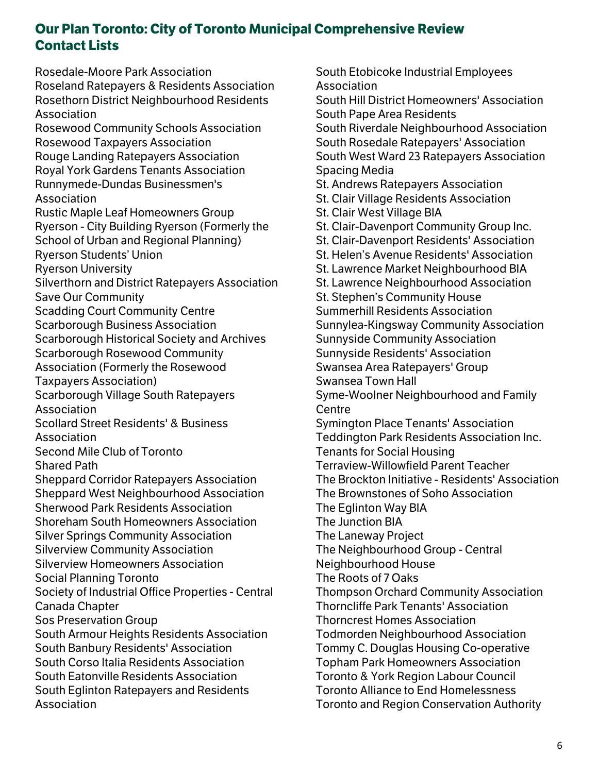Rosedale-Moore Park Association Roseland Ratepayers & Residents Association Rosethorn District Neighbourhood Residents Association Rosewood Community Schools Association Rosewood Taxpayers Association Rouge Landing Ratepayers Association Royal York Gardens Tenants Association Runnymede-Dundas Businessmen's Association Rustic Maple Leaf Homeowners Group Ryerson - City Building Ryerson (Formerly the School of Urban and Regional Planning) Ryerson Students' Union Ryerson University Silverthorn and District Ratepayers Association Save Our Community Scadding Court Community Centre Scarborough Business Association Scarborough Historical Society and Archives Scarborough Rosewood Community Association (Formerly the Rosewood Taxpayers Association) Scarborough Village South Ratepayers Association Scollard Street Residents' & Business Association Second Mile Club of Toronto Shared Path Sheppard Corridor Ratepayers Association Sheppard West Neighbourhood Association Sherwood Park Residents Association Shoreham South Homeowners Association Silver Springs Community Association Silverview Community Association Silverview Homeowners Association Social Planning Toronto Society of Industrial Office Properties - Central Canada Chapter Sos Preservation Group South Armour Heights Residents Association South Banbury Residents' Association South Corso Italia Residents Association South Eatonville Residents Association South Eglinton Ratepayers and Residents Association

South Etobicoke Industrial Employees Association South Hill District Homeowners' Association South Pape Area Residents South Riverdale Neighbourhood Association South Rosedale Ratepayers' Association South West Ward 23 Ratepayers Association Spacing Media St. Andrews Ratepayers Association St. Clair Village Residents Association St. Clair West Village BIA St. Clair-Davenport Community Group Inc. St. Clair-Davenport Residents' Association St. Helen's Avenue Residents' Association St. Lawrence Market Neighbourhood BIA St. Lawrence Neighbourhood Association St. Stephen's Community House Summerhill Residents Association Sunnylea-Kingsway Community Association Sunnyside Community Association Sunnyside Residents' Association Swansea Area Ratepayers' Group Swansea Town Hall Syme-Woolner Neighbourhood and Family Centre Symington Place Tenants' Association Teddington Park Residents Association Inc. Tenants for Social Housing Terraview-Willowfield Parent Teacher The Brockton Initiative - Residents' Association The Brownstones of Soho Association The Eglinton Way BIA The Junction BIA The Laneway Project The Neighbourhood Group - Central Neighbourhood House The Roots of 7 Oaks Thompson Orchard Community Association Thorncliffe Park Tenants' Association Thorncrest Homes Association Todmorden Neighbourhood Association Tommy C. Douglas Housing Co-operative Topham Park Homeowners Association Toronto & York Region Labour Council Toronto Alliance to End Homelessness Toronto and Region Conservation Authority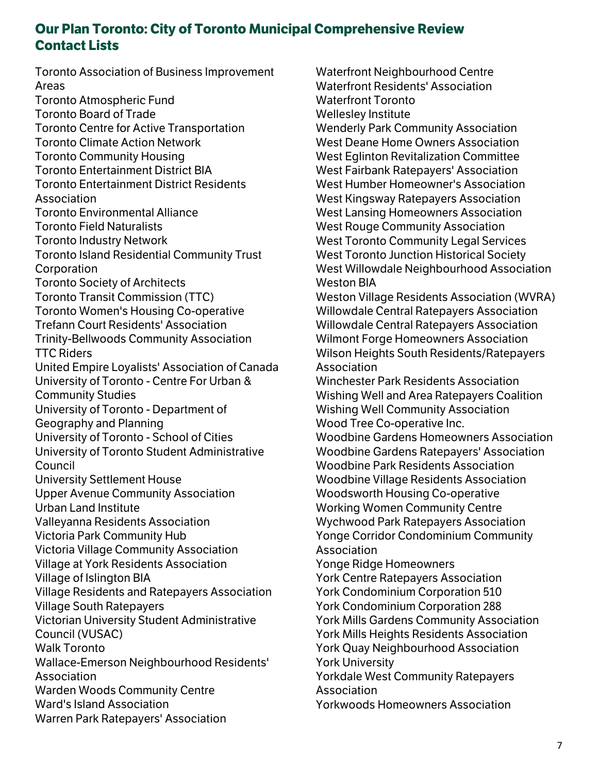Toronto Association of Business Improvement Areas Toronto Atmospheric Fund Toronto Board of Trade Toronto Centre for Active Transportation Toronto Climate Action Network Toronto Community Housing Toronto Entertainment District BIA Toronto Entertainment District Residents Association Toronto Environmental Alliance Toronto Field Naturalists Toronto Industry Network Toronto Island Residential Community Trust **Corporation** Toronto Society of Architects Toronto Transit Commission (TTC) Toronto Women's Housing Co-operative Trefann Court Residents' Association Trinity-Bellwoods Community Association TTC Riders United Empire Loyalists' Association of Canada University of Toronto - Centre For Urban & Community Studies University of Toronto - Department of Geography and Planning University of Toronto - School of Cities University of Toronto Student Administrative Council University Settlement House Upper Avenue Community Association Urban Land Institute Valleyanna Residents Association Victoria Park Community Hub Victoria Village Community Association Village at York Residents Association Village of Islington BIA Village Residents and Ratepayers Association Village South Ratepayers Victorian University Student Administrative Council (VUSAC) Walk Toronto Wallace-Emerson Neighbourhood Residents' Association Warden Woods Community Centre Ward's Island Association Warren Park Ratepayers' Association

Waterfront Neighbourhood Centre Waterfront Residents' Association Waterfront Toronto Wellesley Institute Wenderly Park Community Association West Deane Home Owners Association West Eglinton Revitalization Committee West Fairbank Ratepayers' Association West Humber Homeowner's Association West Kingsway Ratepayers Association West Lansing Homeowners Association West Rouge Community Association West Toronto Community Legal Services West Toronto Junction Historical Society West Willowdale Neighbourhood Association Weston BIA Weston Village Residents Association (WVRA) Willowdale Central Ratepayers Association Willowdale Central Ratepayers Association Wilmont Forge Homeowners Association Wilson Heights South Residents/Ratepayers Association Winchester Park Residents Association Wishing Well and Area Ratepayers Coalition Wishing Well Community Association Wood Tree Co-operative Inc. Woodbine Gardens Homeowners Association Woodbine Gardens Ratepayers' Association Woodbine Park Residents Association Woodbine Village Residents Association Woodsworth Housing Co-operative Working Women Community Centre Wychwood Park Ratepayers Association Yonge Corridor Condominium Community Association Yonge Ridge Homeowners York Centre Ratepayers Association York Condominium Corporation 510 York Condominium Corporation 288 York Mills Gardens Community Association York Mills Heights Residents Association York Quay Neighbourhood Association York University Yorkdale West Community Ratepayers Association Yorkwoods Homeowners Association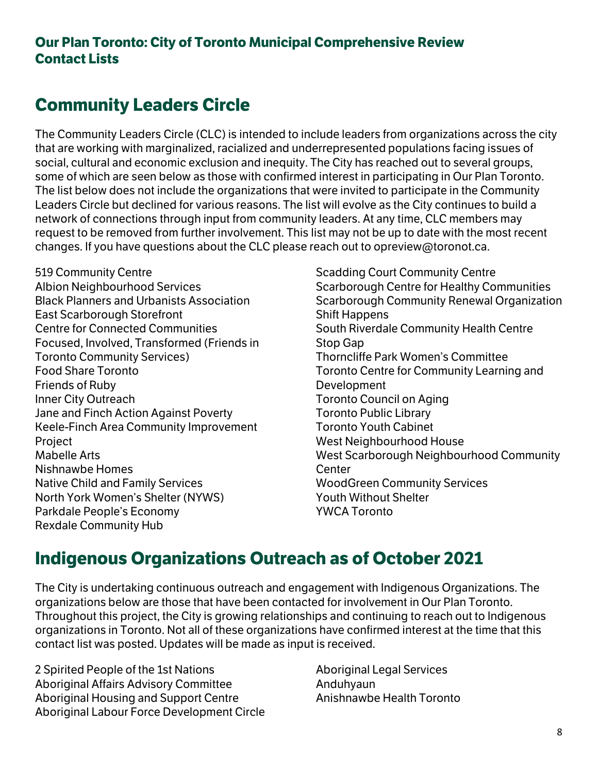# **Community Leaders Circle**

The Community Leaders Circle (CLC) is intended to include leaders from organizations across the city that are working with marginalized, racialized and underrepresented populations facing issues of social, cultural and economic exclusion and inequity. The City has reached out to several groups, some of which are seen below as those with confirmed interest in participating in Our Plan Toronto. The list below does not include the organizations that were invited to participate in the Community Leaders Circle but declined for various reasons. The list will evolve as the City continues to build a network of connections through input from community leaders. At any time, CLC members may request to be removed from further involvement. This list may not be up to date with the most recent changes. If you have questions about the CLC please reach out to opreview@toronot.ca.

519 Community Centre Albion Neighbourhood Services Black Planners and Urbanists Association East Scarborough Storefront Centre for Connected Communities Focused, Involved, Transformed (Friends in Toronto Community Services) Food Share Toronto Friends of Ruby Inner City Outreach Jane and Finch Action Against Poverty Keele-Finch Area Community Improvement Project Mabelle Arts Nishnawbe Homes Native Child and Family Services North York Women's Shelter (NYWS) Parkdale People's Economy Rexdale Community Hub

Scadding Court Community Centre Scarborough Centre for Healthy Communities Scarborough Community Renewal Organization Shift Happens South Riverdale Community Health Centre Stop Gap Thorncliffe Park Women's Committee Toronto Centre for Community Learning and Development Toronto Council on Aging Toronto Public Library Toronto Youth Cabinet West Neighbourhood House West Scarborough Neighbourhood Community Center WoodGreen Community Services Youth Without Shelter YWCA Toronto

# **Indigenous Organizations Outreach as of October 2021**

The City is undertaking continuous outreach and engagement with Indigenous Organizations. The organizations below are those that have been contacted for involvement in Our Plan Toronto. Throughout this project, the City is growing relationships and continuing to reach out to Indigenous organizations in Toronto. Not all of these organizations have confirmed interest at the time that this contact list was posted. Updates will be made as input is received.

2 Spirited People of the 1st Nations Aboriginal Affairs Advisory Committee Aboriginal Housing and Support Centre Aboriginal Labour Force Development Circle Aboriginal Legal Services Anduhyaun Anishnawbe Health Toronto